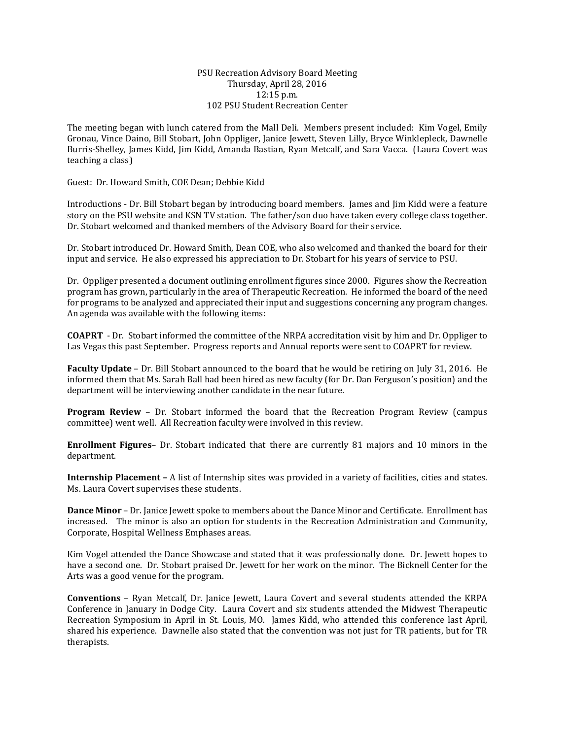## PSU Recreation Advisory Board Meeting Thursday, April 28, 2016 12:15 p.m. 102 PSU Student Recreation Center

The meeting began with lunch catered from the Mall Deli. Members present included: Kim Vogel, Emily Gronau, Vince Daino, Bill Stobart, John Oppliger, Janice Jewett, Steven Lilly, Bryce Winklepleck, Dawnelle Burris-Shelley, James Kidd, Jim Kidd, Amanda Bastian, Ryan Metcalf, and Sara Vacca. (Laura Covert was teaching a class)

Guest: Dr. Howard Smith, COE Dean; Debbie Kidd

Introductions - Dr. Bill Stobart began by introducing board members. James and Jim Kidd were a feature story on the PSU website and KSN TV station. The father/son duo have taken every college class together. Dr. Stobart welcomed and thanked members of the Advisory Board for their service.

Dr. Stobart introduced Dr. Howard Smith, Dean COE, who also welcomed and thanked the board for their input and service. He also expressed his appreciation to Dr. Stobart for his years of service to PSU.

Dr. Oppliger presented a document outlining enrollment figures since 2000. Figures show the Recreation program has grown, particularly in the area of Therapeutic Recreation. He informed the board of the need for programs to be analyzed and appreciated their input and suggestions concerning any program changes. An agenda was available with the following items:

**COAPRT** - Dr. Stobart informed the committee of the NRPA accreditation visit by him and Dr. Oppliger to Las Vegas this past September. Progress reports and Annual reports were sent to COAPRT for review.

**Faculty Update** – Dr. Bill Stobart announced to the board that he would be retiring on July 31, 2016. He informed them that Ms. Sarah Ball had been hired as new faculty (for Dr. Dan Ferguson's position) and the department will be interviewing another candidate in the near future.

**Program Review** – Dr. Stobart informed the board that the Recreation Program Review (campus committee) went well. All Recreation faculty were involved in this review.

**Enrollment Figures**– Dr. Stobart indicated that there are currently 81 majors and 10 minors in the department.

**Internship Placement –** A list of Internship sites was provided in a variety of facilities, cities and states. Ms. Laura Covert supervises these students.

**Dance Minor** – Dr. Janice Jewett spoke to members about the Dance Minor and Certificate. Enrollment has increased. The minor is also an option for students in the Recreation Administration and Community, Corporate, Hospital Wellness Emphases areas.

Kim Vogel attended the Dance Showcase and stated that it was professionally done. Dr. Jewett hopes to have a second one. Dr. Stobart praised Dr. Jewett for her work on the minor. The Bicknell Center for the Arts was a good venue for the program.

**Conventions** – Ryan Metcalf, Dr. Janice Jewett, Laura Covert and several students attended the KRPA Conference in January in Dodge City. Laura Covert and six students attended the Midwest Therapeutic Recreation Symposium in April in St. Louis, MO. James Kidd, who attended this conference last April, shared his experience. Dawnelle also stated that the convention was not just for TR patients, but for TR therapists.